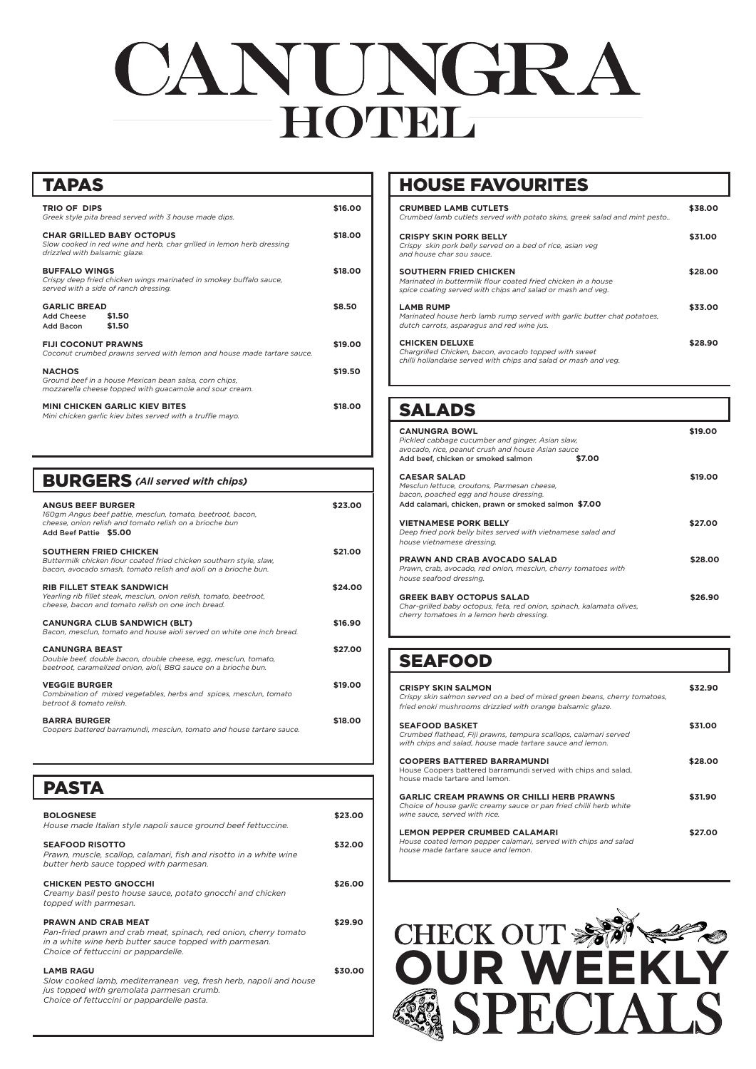| <b>CANUNGRA BOWL</b><br>Pickled cabbage cucumber and ginger, Asian slaw,<br>avocado, rice, peanut crush and house Asian sauce<br>Add beef, chicken or smoked salmon  | \$7.00 | \$19.00 |
|----------------------------------------------------------------------------------------------------------------------------------------------------------------------|--------|---------|
| <b>CAESAR SALAD</b><br>Mesclun lettuce, croutons, Parmesan cheese,<br>bacon, poached egg and house dressing.<br>Add calamari, chicken, prawn or smoked salmon \$7.00 |        | \$19,00 |
| <b>VIETNAMESE PORK BELLY</b><br>Deep fried pork belly bites served with vietnamese salad and<br>house vietnamese dressing.                                           |        | \$27.00 |
| <b>PRAWN AND CRAB AVOCADO SALAD</b><br>Prawn, crab, avocado, red onion, mesclun, cherry tomatoes with<br>house seafood dressing.                                     |        | \$28,00 |
| <b>GREEK BABY OCTOPUS SALAD</b><br>Char-grilled baby octopus, feta, red onion, spinach, kalamata olives,<br>cherry tomatoes in a lemon herb dressing.                |        | \$26.90 |

# CANUNGRA **HOTURL**

| <b>TAPAS</b>                                                                                                                               |         |  |
|--------------------------------------------------------------------------------------------------------------------------------------------|---------|--|
| <b>TRIO OF DIPS</b><br>Greek style pita bread served with 3 house made dips.                                                               | \$16.00 |  |
| <b>CHAR GRILLED BABY OCTOPUS</b><br>Slow cooked in red wine and herb, char grilled in lemon herb dressing<br>drizzled with balsamic glaze. |         |  |
| <b>BUFFALO WINGS</b><br>Crispy deep fried chicken wings marinated in smokey buffalo sauce,<br>served with a side of ranch dressing.        |         |  |
| <b>GARLIC BREAD</b><br><b>Add Cheese</b><br>\$1.50<br>\$1.50<br>Add Bacon                                                                  | \$8.50  |  |
| <b>FIJI COCONUT PRAWNS</b><br>Coconut crumbed prawns served with lemon and house made tartare sauce.                                       | \$19.00 |  |
| <b>NACHOS</b><br>Ground beef in a house Mexican bean salsa, corn chips,<br>mozzarella cheese topped with guacamole and sour cream.         | \$19.50 |  |
| <b>MINI CHICKEN GARLIC KIEV BITES</b><br>Mini chicken garlic kiev bites served with a truffle mayo.                                        | \$18.00 |  |

## CHECK OUT \$889 SPECIALS **OUR WEEKLY**

*House made Italian style napoli sauce ground beef fettuccine.*

#### **SEAFOOD RISOTTO \$32.00**

*Prawn, muscle, scallop, calamari, fish and risotto in a white wine butter herb sauce topped with parmesan.* 

#### **CHICKEN PESTO GNOCCHI \$26.00**

| <b>BURGERS</b> (All served with chips)                                                                                                                                      |         |
|-----------------------------------------------------------------------------------------------------------------------------------------------------------------------------|---------|
| <b>ANGUS BEEF BURGER</b><br>160gm Angus beef pattie, mesclun, tomato, beetroot, bacon,<br>cheese, onion relish and tomato relish on a brioche bun<br>Add Beef Pattie \$5.00 | \$23.00 |
| <b>SOUTHERN FRIED CHICKEN</b><br>Buttermilk chicken flour coated fried chicken southern style, slaw,<br>bacon, avocado smash, tomato relish and aioli on a brioche bun.     | \$21.00 |
| <b>RIB FILLET STEAK SANDWICH</b><br>Yearling rib fillet steak, mesclun, onion relish, tomato, beetroot,<br>cheese, bacon and tomato relish on one inch bread.               | \$24.00 |
| <b>CANUNGRA CLUB SANDWICH (BLT)</b><br>Bacon, mesclun, tomato and house aioli served on white one inch bread.                                                               | \$16.90 |
| <b>CANUNGRA BEAST</b><br>Double beef, double bacon, double cheese, egg, mesclun, tomato,<br>beetroot, caramelized onion, aioli. BBQ sauce on a brioche bun.                 | \$27.00 |
| <b>VEGGIE BURGER</b><br>Combination of mixed vegetables, herbs and spices, mesclun, tomato<br>betroot & tomato relish                                                       | \$19.00 |
| <b>BARRA BURGER</b><br>Coopers battered barramundi, mesclun, tomato and house tartare sauce.                                                                                | \$18.00 |
|                                                                                                                                                                             |         |

*Creamy basil pesto house sauce, potato gnocchi and chicken topped with parmesan.*

#### **PRAWN AND CRAB MEAT \$29.90**

*Pan-fried prawn and crab meat, spinach, red onion, cherry tomato in a white wine herb butter sauce topped with parmesan. Choice of fettuccini or pappardelle.* 

#### **LAMB RAGU \$30.00**

*Slow cooked lamb, mediterranean veg, fresh herb, napoli and house jus topped with gremolata parmesan crumb. Choice of fettuccini or pappardelle pasta.*

| <b>CRUMBED LAMB CUTLETS</b><br>Crumbed lamb cutlets served with potato skins, greek salad and mint pesto                                                     | \$38.00 |
|--------------------------------------------------------------------------------------------------------------------------------------------------------------|---------|
| <b>CRISPY SKIN PORK BELLY</b><br>Crispy skin pork belly served on a bed of rice, asian veg<br>and house char sou sauce.                                      | \$31.00 |
| <b>SOUTHERN FRIED CHICKEN</b><br>Marinated in buttermilk flour coated fried chicken in a house<br>spice coating served with chips and salad or mash and veg. | \$28.00 |
| <b>LAMB RUMP</b><br>Marinated house herb lamb rump served with garlic butter chat potatoes,<br>dutch carrots, asparagus and red wine jus.                    | \$33.00 |
| <b>CHICKEN DELUXE</b><br>Chargrilled Chicken, bacon, avocado topped with sweet<br>chilli hollandaise served with chips and salad or mash and veg.            | \$28.90 |

| <b>CRISPY SKIN SALMON</b><br>Crispy skin salmon served on a bed of mixed green beans, cherry tomatoes,<br>fried enoki mushrooms drizzled with orange balsamic glaze. | i32.90  |
|----------------------------------------------------------------------------------------------------------------------------------------------------------------------|---------|
| <b>SEAFOOD BASKET</b><br>Crumbed flathead, Fiji prawns, tempura scallops, calamari served<br>with chips and salad, house made tartare sauce and lemon.               | \$31.00 |
| <b>COOPERS BATTERED BARRAMUNDI</b><br>House Coopers battered barramundi served with chips and salad.<br>house made tartare and lemon.                                | \$28.00 |

**GARLIC CREAM PRAWNS OR CHILLI HERB PRAWNS \$31.90** *Choice of house garlic creamy sauce or pan fried chilli herb white* 

#### **BOLOGNESE** \$23.00

*wine sauce, served with rice.*

#### **LEMON PEPPER CRUMBED CALAMARI \$27.00**

*House coated lemon pepper calamari, served with chips and salad house made tartare sauce and lemon.*

### SALADS

PASTA

## HOUSE FAVOURITES

## SEAFOOD